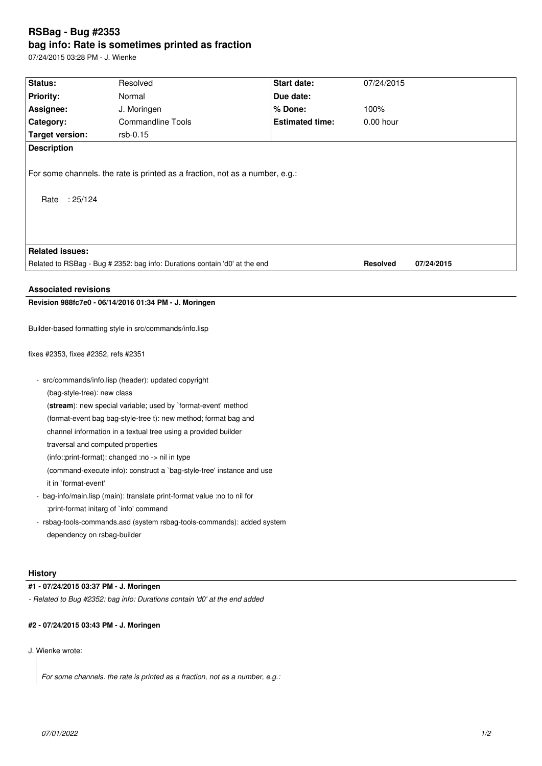# **RSBag - Bug #2353 bag info: Rate is sometimes printed as fraction**

07/24/2015 03:28 PM - J. Wienke

| Status:                                                                                       | Resolved                 | Start date:            | 07/24/2015      |            |
|-----------------------------------------------------------------------------------------------|--------------------------|------------------------|-----------------|------------|
| <b>Priority:</b>                                                                              | Normal                   | Due date:              |                 |            |
| Assignee:                                                                                     | J. Moringen              | % Done:                | 100%            |            |
| Category:                                                                                     | <b>Commandline Tools</b> | <b>Estimated time:</b> | $0.00$ hour     |            |
| <b>Target version:</b>                                                                        | rsb-0.15                 |                        |                 |            |
| <b>Description</b>                                                                            |                          |                        |                 |            |
| For some channels. the rate is printed as a fraction, not as a number, e.g.:<br>Rate : 25/124 |                          |                        |                 |            |
|                                                                                               |                          |                        |                 |            |
| <b>Related issues:</b>                                                                        |                          |                        |                 |            |
| Related to RSBag - Bug # 2352: bag info: Durations contain 'd0' at the end                    |                          |                        | <b>Resolved</b> | 07/24/2015 |
| <b>Associated revisions</b>                                                                   |                          |                        |                 |            |
| Revision 988fc7e0 - 06/14/2016 01:34 PM - J. Moringen                                         |                          |                        |                 |            |
|                                                                                               |                          |                        |                 |            |
| Builder-based formatting style in src/commands/info.lisp                                      |                          |                        |                 |            |
| fixes #2353, fixes #2352, refs #2351                                                          |                          |                        |                 |            |
| - src/commands/info.lisp (header): updated copyright                                          |                          |                        |                 |            |
| (bag-style-tree): new class                                                                   |                          |                        |                 |            |
| (stream): new special variable; used by `format-event' method                                 |                          |                        |                 |            |
| (format-event bag bag-style-tree t): new method; format bag and                               |                          |                        |                 |            |
| channel information in a textual tree using a provided builder                                |                          |                        |                 |            |
| traversal and computed properties                                                             |                          |                        |                 |            |
| (info::print-format): changed :no -> nil in type                                              |                          |                        |                 |            |
| (command-execute info): construct a `bag-style-tree' instance and use                         |                          |                        |                 |            |
| it in `format-event'                                                                          |                          |                        |                 |            |
| - bag-info/main.lisp (main): translate print-format value :no to nil for                      |                          |                        |                 |            |
| :print-format initarg of `info' command                                                       |                          |                        |                 |            |
| - rsbag-tools-commands.asd (system rsbag-tools-commands): added system                        |                          |                        |                 |            |
| dependency on rsbag-builder                                                                   |                          |                        |                 |            |
|                                                                                               |                          |                        |                 |            |
|                                                                                               |                          |                        |                 |            |
|                                                                                               |                          |                        |                 |            |

# **History**

**#1 - 07/24/2015 03:37 PM - J. Moringen**

*- Related to Bug #2352: bag info: Durations contain 'd0' at the end added*

# **#2 - 07/24/2015 03:43 PM - J. Moringen**

J. Wienke wrote:

*For some channels. the rate is printed as a fraction, not as a number, e.g.:*